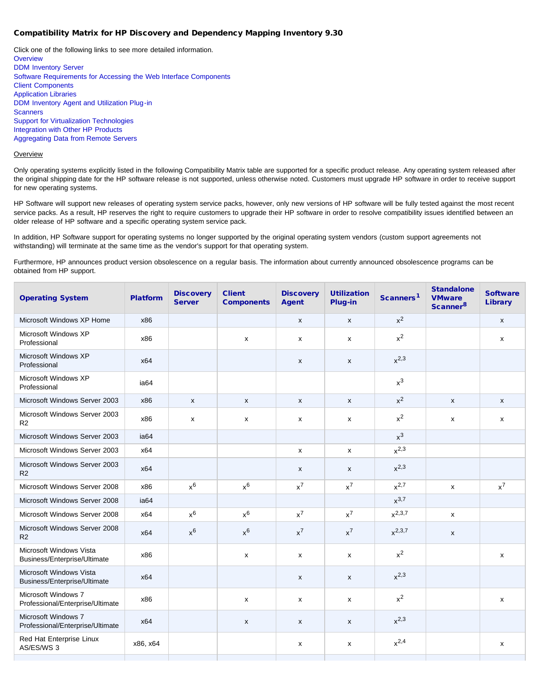### Compatibility Matrix for HP Discovery and Dependency Mapping Inventory 9.30

Click one of the following links to see more detailed information. **[Overview](#page-0-0)** [DDM Inventory Server](#page-1-0) [Software Requirements for Accessing the Web Interface Components](#page-1-1) [Client Components](#page-1-2) [Application Libraries](#page-1-3) [DDM Inventory Agent and Utilization Plug-in](#page-2-0) **[Scanners](#page-2-1)** [Support for Virtualization Technologies](#page-2-2) [Integration with Other HP Products](#page-2-3) [Aggregating Data from Remote Servers](#page-3-0)

### <span id="page-0-0"></span>**Overview**

Only operating systems explicitly listed in the following Compatibility Matrix table are supported for a specific product release. Any operating system released after the original shipping date for the HP software release is not supported, unless otherwise noted. Customers must upgrade HP software in order to receive support for new operating systems.

HP Software will support new releases of operating system service packs, however, only new versions of HP software will be fully tested against the most recent service packs. As a result, HP reserves the right to require customers to upgrade their HP software in order to resolve compatibility issues identified between an older release of HP software and a specific operating system service pack.

In addition, HP Software support for operating systems no longer supported by the original operating system vendors (custom support agreements not withstanding) will terminate at the same time as the vendor's support for that operating system.

Furthermore, HP announces product version obsolescence on a regular basis. The information about currently announced obsolescence programs can be obtained from HP support.

| <b>Operating System</b>                                 | <b>Platform</b>  | <b>Discovery</b><br><b>Server</b> | <b>Client</b><br><b>Components</b> | <b>Discovery</b><br><b>Agent</b> | <b>Utilization</b><br>Plug-in | Scanners <sup>1</sup> | <b>Standalone</b><br><b>VMware</b><br>Scanner <sup>8</sup> | <b>Software</b><br><b>Library</b> |
|---------------------------------------------------------|------------------|-----------------------------------|------------------------------------|----------------------------------|-------------------------------|-----------------------|------------------------------------------------------------|-----------------------------------|
| Microsoft Windows XP Home                               | x86              |                                   |                                    | X                                | $\mathsf{x}$                  | $x^2$                 |                                                            | $\mathsf{x}$                      |
| Microsoft Windows XP<br>Professional                    | x86              |                                   | X                                  | x                                | x                             | $x^2$                 |                                                            | x                                 |
| Microsoft Windows XP<br>Professional                    | x64              |                                   |                                    | X                                | X                             | $x^{2,3}$             |                                                            |                                   |
| Microsoft Windows XP<br>Professional                    | ia <sub>64</sub> |                                   |                                    |                                  |                               | $x^3$                 |                                                            |                                   |
| Microsoft Windows Server 2003                           | x86              | $\mathsf{x}$                      | X                                  | X                                | X                             | $x^2$                 | X                                                          | $\mathsf{x}$                      |
| Microsoft Windows Server 2003<br>R <sub>2</sub>         | x86              | x                                 | x                                  | x                                | X                             | $x^2$                 | x                                                          | x                                 |
| Microsoft Windows Server 2003                           | ia <sub>64</sub> |                                   |                                    |                                  |                               | $x^3$                 |                                                            |                                   |
| Microsoft Windows Server 2003                           | x64              |                                   |                                    | x                                | X                             | $x^{2,3}$             |                                                            |                                   |
| Microsoft Windows Server 2003<br>R2                     | x64              |                                   |                                    | X                                | X                             | $x^{2,3}$             |                                                            |                                   |
| Microsoft Windows Server 2008                           | x86              | $x^6$                             | $x^6$                              | $x^7$                            | $x^7$                         | $x^{2,7}$             | x                                                          | $x^7$                             |
| Microsoft Windows Server 2008                           | ia <sub>64</sub> |                                   |                                    |                                  |                               | $x^{3,7}$             |                                                            |                                   |
| Microsoft Windows Server 2008                           | x64              | $x^6$                             | $x^6$                              | $x^7$                            | $x^7$                         | $x^{2,3,7}$           | X                                                          |                                   |
| Microsoft Windows Server 2008<br>R <sub>2</sub>         | x64              | $x^6$                             | $x^6$                              | $x^7$                            | $x^7$                         | $x^{2,3,7}$           | X                                                          |                                   |
| Microsoft Windows Vista<br>Business/Enterprise/Ultimate | x86              |                                   | X                                  | $\mathsf{x}$                     | x                             | $x^2$                 |                                                            | X                                 |
| Microsoft Windows Vista<br>Business/Enterprise/Ultimate | x64              |                                   |                                    | X                                | X                             | $x^{2,3}$             |                                                            |                                   |
| Microsoft Windows 7<br>Professional/Enterprise/Ultimate | x86              |                                   | X                                  | x                                | x                             | $x^2$                 |                                                            | x                                 |
| Microsoft Windows 7<br>Professional/Enterprise/Ultimate | x64              |                                   | $\boldsymbol{\mathsf{x}}$          | X                                | X                             | $x^{2,3}$             |                                                            |                                   |
| Red Hat Enterprise Linux<br>AS/ES/WS 3                  | x86, x64         |                                   |                                    | x                                | x                             | $x^{2,4}$             |                                                            | X                                 |
|                                                         |                  |                                   |                                    |                                  |                               |                       |                                                            |                                   |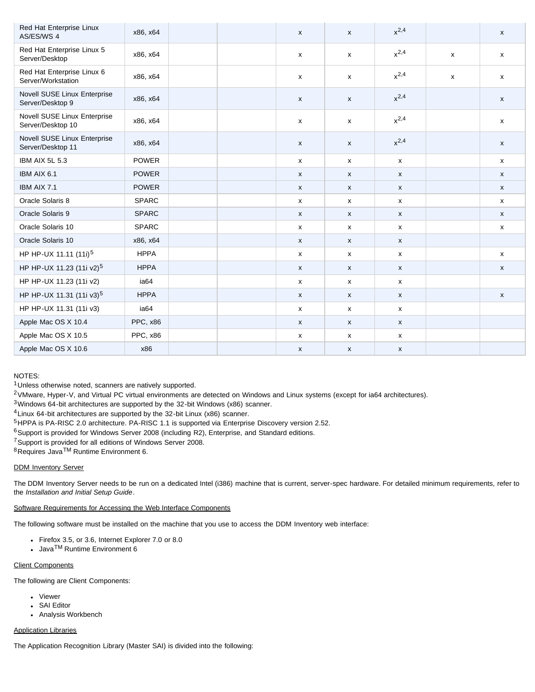| Red Hat Enterprise Linux<br>AS/ES/WS 4            | x86, x64     |  | $\mathsf{x}$              | $\mathsf{x}$              | $x^{2,4}$    |   | X            |
|---------------------------------------------------|--------------|--|---------------------------|---------------------------|--------------|---|--------------|
| Red Hat Enterprise Linux 5<br>Server/Desktop      | x86, x64     |  | $\boldsymbol{\mathsf{x}}$ | $\boldsymbol{\mathsf{x}}$ | $x^{2,4}$    | X | $\mathsf{x}$ |
| Red Hat Enterprise Linux 6<br>Server/Workstation  | x86, x64     |  | x                         | $\mathsf{x}$              | $x^{2,4}$    | x | $\mathsf{x}$ |
| Novell SUSE Linux Enterprise<br>Server/Desktop 9  | x86, x64     |  | X                         | $\mathsf{x}$              | $x^{2,4}$    |   | $\mathsf{x}$ |
| Novell SUSE Linux Enterprise<br>Server/Desktop 10 | x86, x64     |  | X                         | $\mathsf{x}$              | $x^{2,4}$    |   | X            |
| Novell SUSE Linux Enterprise<br>Server/Desktop 11 | x86, x64     |  | X                         | $\boldsymbol{\mathsf{x}}$ | $x^{2,4}$    |   | X            |
| IBM AIX 5L 5.3                                    | <b>POWER</b> |  | $\mathsf{x}$              | $\boldsymbol{\mathsf{x}}$ | $\mathsf{x}$ |   | X            |
| IBM AIX 6.1                                       | <b>POWER</b> |  | $\boldsymbol{\mathsf{x}}$ | $\boldsymbol{\mathsf{x}}$ | $\mathsf{x}$ |   | $\mathsf{x}$ |
| IBM AIX 7.1                                       | <b>POWER</b> |  | X                         | $\boldsymbol{\mathsf{x}}$ | $\mathsf{x}$ |   | $\mathsf{x}$ |
| Oracle Solaris 8                                  | <b>SPARC</b> |  | $\boldsymbol{\mathsf{x}}$ | $\boldsymbol{\mathsf{x}}$ | $\mathsf{x}$ |   | $\mathsf{x}$ |
| Oracle Solaris 9                                  | <b>SPARC</b> |  | X                         | $\pmb{\chi}$              | $\mathsf{x}$ |   | X            |
| Oracle Solaris 10                                 | <b>SPARC</b> |  | x                         | x                         | $\mathsf{x}$ |   | X            |
| Oracle Solaris 10                                 | x86, x64     |  | $\mathsf{x}$              | X                         | $\mathsf{x}$ |   |              |
| HP HP-UX 11.11 (11i) <sup>5</sup>                 | <b>HPPA</b>  |  | $\mathsf{x}$              | $\mathsf{x}$              | $\mathsf{x}$ |   | $\mathsf{x}$ |
| HP HP-UX 11.23 (11i v2) <sup>5</sup>              | <b>HPPA</b>  |  | X                         | $\pmb{\mathsf{x}}$        | $\mathsf{x}$ |   | X            |
| HP HP-UX 11.23 (11i v2)                           | ia64         |  | $\mathsf{x}$              | $\boldsymbol{\mathsf{x}}$ | $\mathsf{x}$ |   |              |
| HP HP-UX 11.31 (11i v3) <sup>5</sup>              | <b>HPPA</b>  |  | $\mathsf{x}$              | $\pmb{\chi}$              | $\mathsf X$  |   | $\mathsf X$  |
| HP HP-UX 11.31 (11i v3)                           | ia64         |  | $\mathsf{x}$              | $\mathsf{x}$              | $\mathsf{x}$ |   |              |
| Apple Mac OS X 10.4                               | PPC, x86     |  | x                         | $\boldsymbol{\mathsf{x}}$ | $\mathsf{x}$ |   |              |
| Apple Mac OS X 10.5                               | PPC, x86     |  | x                         | $\pmb{\mathsf{X}}$        | $\mathsf{x}$ |   |              |
| Apple Mac OS X 10.6                               | x86          |  | x                         | $\pmb{\mathsf{X}}$        | $\mathsf{x}$ |   |              |

## NOTES:

1Unless otherwise noted, scanners are natively supported.

2VMware, Hyper-V, and Virtual PC virtual environments are detected on Windows and Linux systems (except for ia64 architectures).

3Windows 64-bit architectures are supported by the 32-bit Windows (x86) scanner.

4Linux 64-bit architectures are supported by the 32-bit Linux (x86) scanner.

5HPPA is PA-RISC 2.0 architecture. PA-RISC 1.1 is supported via Enterprise Discovery version 2.52.

<sup>6</sup>Support is provided for Windows Server 2008 (including R2), Enterprise, and Standard editions.

7Support is provided for all editions of Windows Server 2008.

8Requires JavaTM Runtime Environment 6.

# <span id="page-1-0"></span>DDM Inventory Server

The DDM Inventory Server needs to be run on a dedicated Intel (i386) machine that is current, server-spec hardware. For detailed minimum requirements, refer to the *Installation and Initial Setup Guide*.

# <span id="page-1-1"></span>Software Requirements for Accessing the Web Interface Components

The following software must be installed on the machine that you use to access the DDM Inventory web interface:

- Firefox 3.5, or 3.6, Internet Explorer 7.0 or 8.0
- $\cdot$  Java<sup>TM</sup> Runtime Environment 6

# <span id="page-1-2"></span>Client Components

The following are Client Components:

- Viewer
- SAI Editor
- Analysis Workbench

# <span id="page-1-3"></span>Application Libraries

The Application Recognition Library (Master SAI) is divided into the following: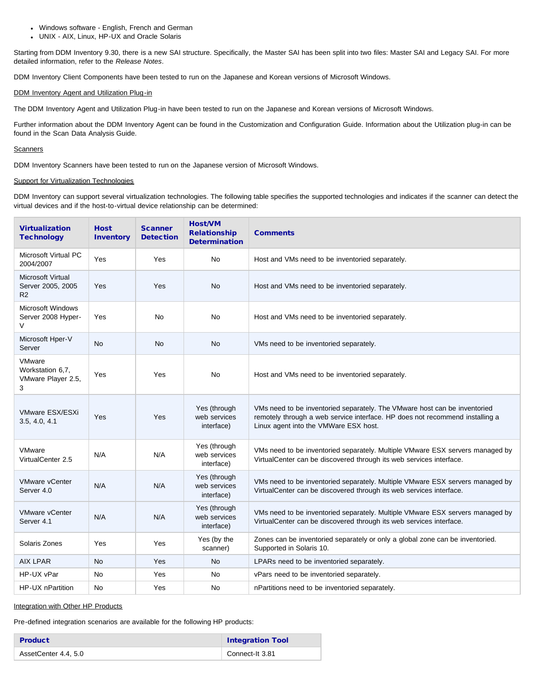- Windows software English, French and German
- UNIX AIX, Linux, HP-UX and Oracle Solaris

Starting from DDM Inventory 9.30, there is a new SAI structure. Specifically, the Master SAI has been split into two files: Master SAI and Legacy SAI. For more detailed information, refer to the *Release Notes*.

DDM Inventory Client Components have been tested to run on the Japanese and Korean versions of Microsoft Windows.

### <span id="page-2-0"></span>DDM Inventory Agent and Utilization Plug-in

The DDM Inventory Agent and Utilization Plug-in have been tested to run on the Japanese and Korean versions of Microsoft Windows.

Further information about the DDM Inventory Agent can be found in the Customization and Configuration Guide. Information about the Utilization plug-in can be found in the Scan Data Analysis Guide.

### <span id="page-2-1"></span>**Scanners**

DDM Inventory Scanners have been tested to run on the Japanese version of Microsoft Windows.

### <span id="page-2-2"></span>Support for Virtualization Technologies

DDM Inventory can support several virtualization technologies. The following table specifies the supported technologies and indicates if the scanner can detect the virtual devices and if the host-to-virtual device relationship can be determined:

| <b>Virtualization</b><br><b>Technology</b>            | <b>Host</b><br><b>Inventory</b> | <b>Scanner</b><br><b>Detection</b> | <b>Host/VM</b><br><b>Relationship</b><br><b>Determination</b> | <b>Comments</b>                                                                                                                                                                                    |
|-------------------------------------------------------|---------------------------------|------------------------------------|---------------------------------------------------------------|----------------------------------------------------------------------------------------------------------------------------------------------------------------------------------------------------|
| Microsoft Virtual PC<br>2004/2007                     | Yes                             | Yes                                | No                                                            | Host and VMs need to be inventoried separately.                                                                                                                                                    |
| <b>Microsoft Virtual</b><br>Server 2005, 2005<br>R2   | Yes                             | Yes                                | <b>No</b>                                                     | Host and VMs need to be inventoried separately.                                                                                                                                                    |
| <b>Microsoft Windows</b><br>Server 2008 Hyper-<br>V   | Yes                             | <b>No</b>                          | No                                                            | Host and VMs need to be inventoried separately.                                                                                                                                                    |
| Microsoft Hper-V<br>Server                            | <b>No</b>                       | <b>No</b>                          | <b>No</b>                                                     | VMs need to be inventoried separately.                                                                                                                                                             |
| VMware<br>Workstation 6,7,<br>VMware Player 2.5,<br>3 | Yes                             | Yes                                | No                                                            | Host and VMs need to be inventoried separately.                                                                                                                                                    |
| VMware ESX/ESXi<br>3.5, 4.0, 4.1                      | Yes                             | Yes                                | Yes (through<br>web services<br>interface)                    | VMs need to be inventoried separately. The VMware host can be inventoried<br>remotely through a web service interface. HP does not recommend installing a<br>Linux agent into the VMWare ESX host. |
| <b>VMware</b><br>VirtualCenter 2.5                    | N/A                             | N/A                                | Yes (through<br>web services<br>interface)                    | VMs need to be inventoried separately. Multiple VMware ESX servers managed by<br>VirtualCenter can be discovered through its web services interface.                                               |
| <b>VMware vCenter</b><br>Server 4.0                   | N/A                             | N/A                                | Yes (through<br>web services<br>interface)                    | VMs need to be inventoried separately. Multiple VMware ESX servers managed by<br>VirtualCenter can be discovered through its web services interface.                                               |
| <b>VMware vCenter</b><br>Server 4.1                   | N/A                             | N/A                                | Yes (through<br>web services<br>interface)                    | VMs need to be inventoried separately. Multiple VMware ESX servers managed by<br>VirtualCenter can be discovered through its web services interface.                                               |
| Solaris Zones                                         | Yes                             | Yes                                | Yes (by the<br>scanner)                                       | Zones can be inventoried separately or only a global zone can be inventoried.<br>Supported in Solaris 10.                                                                                          |
| <b>AIX LPAR</b>                                       | <b>No</b>                       | Yes                                | <b>No</b>                                                     | LPARs need to be inventoried separately.                                                                                                                                                           |
| HP-UX vPar                                            | No                              | Yes                                | No                                                            | vPars need to be inventoried separately.                                                                                                                                                           |
| HP-UX nPartition                                      | <b>No</b>                       | Yes                                | No                                                            | nPartitions need to be inventoried separately.                                                                                                                                                     |

### <span id="page-2-3"></span>Integration with Other HP Products

Pre-defined integration scenarios are available for the following HP products:

| <b>Product</b>       | <b>Integration Tool</b> |
|----------------------|-------------------------|
| AssetCenter 4.4, 5.0 | Connect-It 3.81         |